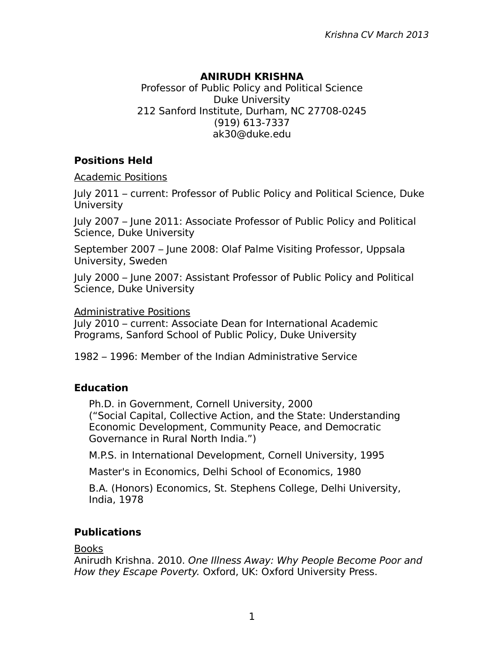## **ANIRUDH KRISHNA**

Professor of Public Policy and Political Science Duke University 212 Sanford Institute, Durham, NC 27708-0245 (919) 613-7337 ak30@duke.edu

## **Positions Held**

Academic Positions

July 2011 – current: Professor of Public Policy and Political Science, Duke University

July 2007 – June 2011: Associate Professor of Public Policy and Political Science, Duke University

September 2007 – June 2008: Olaf Palme Visiting Professor, Uppsala University, Sweden

July 2000 – June 2007: Assistant Professor of Public Policy and Political Science, Duke University

Administrative Positions

July 2010 – current: Associate Dean for International Academic Programs, Sanford School of Public Policy, Duke University

1982 – 1996: Member of the Indian Administrative Service

## **Education**

Ph.D. in Government, Cornell University, 2000 ("Social Capital, Collective Action, and the State: Understanding Economic Development, Community Peace, and Democratic Governance in Rural North India.")

M.P.S. in International Development, Cornell University, 1995

Master's in Economics, Delhi School of Economics, 1980

B.A. (Honors) Economics, St. Stephens College, Delhi University, India, 1978

# **Publications**

Books

Anirudh Krishna. 2010. One Illness Away: Why People Become Poor and How they Escape Poverty. Oxford, UK: Oxford University Press.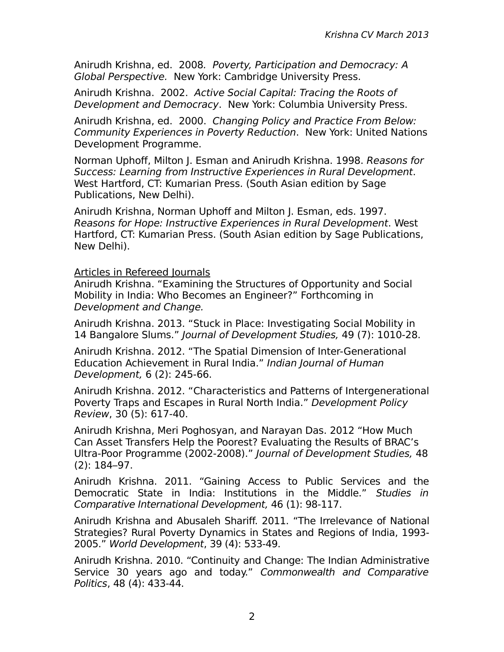Anirudh Krishna, ed. 2008. Poverty, Participation and Democracy: A Global Perspective. New York: Cambridge University Press.

Anirudh Krishna. 2002. Active Social Capital: Tracing the Roots of Development and Democracy. New York: Columbia University Press.

Anirudh Krishna, ed. 2000. Changing Policy and Practice From Below: Community Experiences in Poverty Reduction. New York: United Nations Development Programme.

Norman Uphoff, Milton J. Esman and Anirudh Krishna. 1998. Reasons for Success: Learning from Instructive Experiences in Rural Development. West Hartford, CT: Kumarian Press. (South Asian edition by Sage Publications, New Delhi).

Anirudh Krishna, Norman Uphoff and Milton J. Esman, eds. 1997. Reasons for Hope: Instructive Experiences in Rural Development. West Hartford, CT: Kumarian Press. (South Asian edition by Sage Publications, New Delhi).

### Articles in Refereed Journals

Anirudh Krishna. "Examining the Structures of Opportunity and Social Mobility in India: Who Becomes an Engineer?" Forthcoming in Development and Change.

Anirudh Krishna. 2013. "Stuck in Place: Investigating Social Mobility in 14 Bangalore Slums." Journal of Development Studies, 49 (7): 1010-28.

Anirudh Krishna. 2012. "The Spatial Dimension of Inter-Generational Education Achievement in Rural India." Indian Journal of Human Development, 6 (2): 245-66.

Anirudh Krishna. 2012. "Characteristics and Patterns of Intergenerational Poverty Traps and Escapes in Rural North India." Development Policy Review, 30 (5): 617-40.

Anirudh Krishna, Meri Poghosyan, and Narayan Das. 2012 "How Much Can Asset Transfers Help the Poorest? Evaluating the Results of BRAC's Ultra-Poor Programme (2002-2008)." Journal of Development Studies, 48 (2): 184–97.

Anirudh Krishna. 2011. "Gaining Access to Public Services and the Democratic State in India: Institutions in the Middle." Studies in Comparative International Development, 46 (1): 98-117.

Anirudh Krishna and Abusaleh Shariff. 2011. "The Irrelevance of National Strategies? Rural Poverty Dynamics in States and Regions of India, 1993- 2005." World Development, 39 (4): 533-49.

Anirudh Krishna. 2010. "Continuity and Change: The Indian Administrative Service 30 years ago and today." Commonwealth and Comparative Politics, 48 (4): 433-44.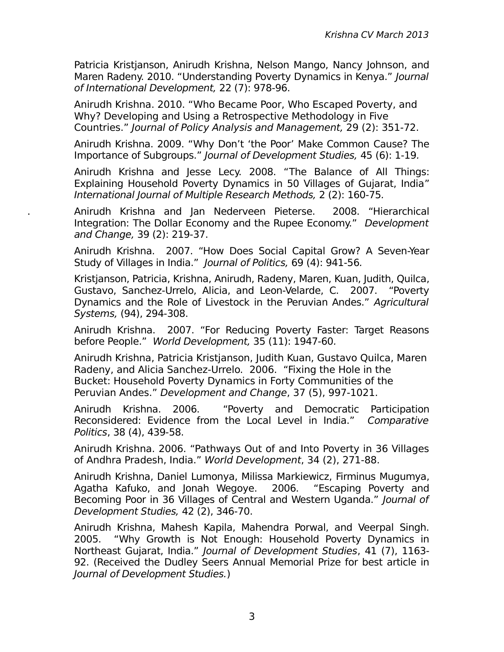Patricia Kristjanson, Anirudh Krishna, Nelson Mango, Nancy Johnson, and Maren Radeny. 2010. "Understanding Poverty Dynamics in Kenya." Journal of International Development, 22 (7): 978-96.

Anirudh Krishna. 2010. "Who Became Poor, Who Escaped Poverty, and Why? Developing and Using a Retrospective Methodology in Five Countries." Journal of Policy Analysis and Management, 29 (2): 351-72.

Anirudh Krishna. 2009. "Why Don't 'the Poor' Make Common Cause? The Importance of Subgroups." Journal of Development Studies, 45 (6): 1-19.

Anirudh Krishna and Jesse Lecy. 2008. "The Balance of All Things: Explaining Household Poverty Dynamics in 50 Villages of Gujarat, India" International Journal of Multiple Research Methods, 2 (2): 160-75.

. Anirudh Krishna and Jan Nederveen Pieterse. 2008. "Hierarchical Integration: The Dollar Economy and the Rupee Economy." Development and Change, 39 (2): 219-37.

Anirudh Krishna. 2007. "How Does Social Capital Grow? A Seven-Year Study of Villages in India." Journal of Politics, 69 (4): 941-56.

Kristjanson, Patricia, Krishna, Anirudh, Radeny, Maren, Kuan, Judith, Quilca, Gustavo, Sanchez-Urrelo, Alicia, and Leon-Velarde, C. 2007. "Poverty Dynamics and the Role of Livestock in the Peruvian Andes." Agricultural Systems, (94), 294-308.

Anirudh Krishna. 2007. "For Reducing Poverty Faster: Target Reasons before People." World Development, 35 (11): 1947-60.

Anirudh Krishna, Patricia Kristjanson, Judith Kuan, Gustavo Quilca, Maren Radeny, and Alicia Sanchez-Urrelo. 2006. "Fixing the Hole in the Bucket: Household Poverty Dynamics in Forty Communities of the Peruvian Andes." Development and Change, 37 (5), 997-1021.

Anirudh Krishna. 2006. "Poverty and Democratic Participation Reconsidered: Evidence from the Local Level in India." Comparative Politics, 38 (4), 439-58.

Anirudh Krishna. 2006. "Pathways Out of and Into Poverty in 36 Villages of Andhra Pradesh, India." World Development, 34 (2), 271-88.

Anirudh Krishna, Daniel Lumonya, Milissa Markiewicz, Firminus Mugumya, Agatha Kafuko, and Jonah Wegoye. 2006. "Escaping Poverty and Becoming Poor in 36 Villages of Central and Western Uganda." Journal of Development Studies, 42 (2), 346-70.

Anirudh Krishna, Mahesh Kapila, Mahendra Porwal, and Veerpal Singh. 2005. "Why Growth is Not Enough: Household Poverty Dynamics in Northeast Gujarat, India." Journal of Development Studies, 41 (7), 1163- 92. (Received the Dudley Seers Annual Memorial Prize for best article in Journal of Development Studies.)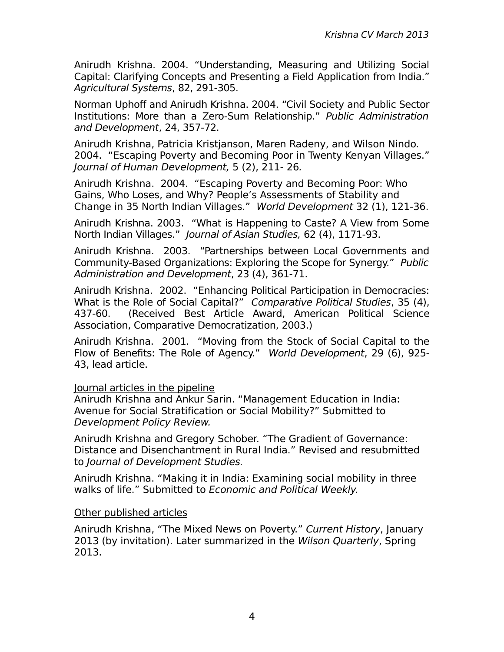Anirudh Krishna. 2004. "Understanding, Measuring and Utilizing Social Capital: Clarifying Concepts and Presenting a Field Application from India." Agricultural Systems, 82, 291-305.

Norman Uphoff and Anirudh Krishna. 2004. "Civil Society and Public Sector Institutions: More than a Zero-Sum Relationship." Public Administration and Development, 24, 357-72.

Anirudh Krishna, Patricia Kristjanson, Maren Radeny, and Wilson Nindo. 2004. "Escaping Poverty and Becoming Poor in Twenty Kenyan Villages." Journal of Human Development, 5 (2), 211- 26.

Anirudh Krishna. 2004. "Escaping Poverty and Becoming Poor: Who Gains, Who Loses, and Why? People's Assessments of Stability and Change in 35 North Indian Villages." World Development 32 (1), 121-36.

Anirudh Krishna. 2003. "What is Happening to Caste? A View from Some North Indian Villages." Journal of Asian Studies, 62 (4), 1171-93.

Anirudh Krishna. 2003. "Partnerships between Local Governments and Community-Based Organizations: Exploring the Scope for Synergy." Public Administration and Development, 23 (4), 361-71.

Anirudh Krishna. 2002. "Enhancing Political Participation in Democracies: What is the Role of Social Capital?" Comparative Political Studies, 35 (4), 437-60. (Received Best Article Award, American Political Science Association, Comparative Democratization, 2003.)

Anirudh Krishna. 2001. "Moving from the Stock of Social Capital to the Flow of Benefits: The Role of Agency." World Development, 29 (6), 925- 43, lead article.

Journal articles in the pipeline

Anirudh Krishna and Ankur Sarin. "Management Education in India: Avenue for Social Stratification or Social Mobility?" Submitted to Development Policy Review.

Anirudh Krishna and Gregory Schober. "The Gradient of Governance: Distance and Disenchantment in Rural India." Revised and resubmitted to Journal of Development Studies.

Anirudh Krishna. "Making it in India: Examining social mobility in three walks of life." Submitted to Economic and Political Weekly.

### Other published articles

Anirudh Krishna, "The Mixed News on Poverty." Current History, January 2013 (by invitation). Later summarized in the Wilson Quarterly, Spring 2013.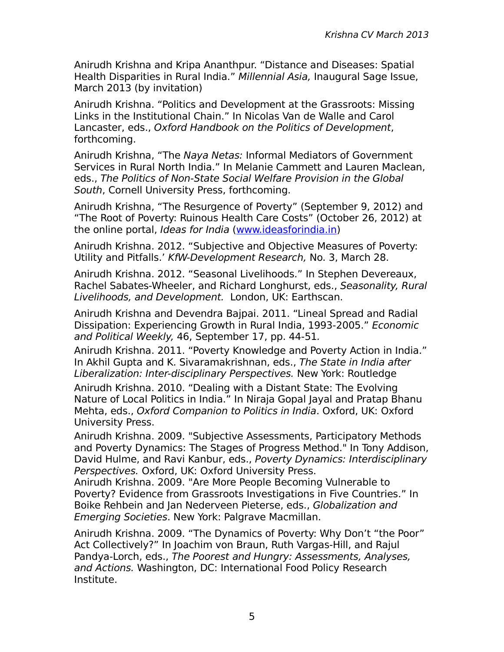Anirudh Krishna and Kripa Ananthpur. "Distance and Diseases: Spatial Health Disparities in Rural India." Millennial Asia, Inaugural Sage Issue, March 2013 (by invitation)

Anirudh Krishna. "Politics and Development at the Grassroots: Missing Links in the Institutional Chain." In Nicolas Van de Walle and Carol Lancaster, eds., Oxford Handbook on the Politics of Development, forthcoming.

Anirudh Krishna, "The Naya Netas: Informal Mediators of Government Services in Rural North India." In Melanie Cammett and Lauren Maclean, eds., The Politics of Non-State Social Welfare Provision in the Global South, Cornell University Press, forthcoming.

Anirudh Krishna, "The Resurgence of Poverty" (September 9, 2012) and "The Root of Poverty: Ruinous Health Care Costs" (October 26, 2012) at the online portal, Ideas for India [\(www.ideasforindia.in\)](http://www.ideasforindia.in/)

Anirudh Krishna. 2012. "Subjective and Objective Measures of Poverty: Utility and Pitfalls.' KfW-Development Research, No. 3, March 28.

Anirudh Krishna. 2012. "Seasonal Livelihoods." In Stephen Devereaux, Rachel Sabates-Wheeler, and Richard Longhurst, eds., Seasonality, Rural Livelihoods, and Development. London, UK: Earthscan.

Anirudh Krishna and Devendra Bajpai. 2011. "Lineal Spread and Radial Dissipation: Experiencing Growth in Rural India, 1993-2005." Economic and Political Weekly, 46, September 17, pp. 44-51.

Anirudh Krishna. 2011. "Poverty Knowledge and Poverty Action in India." In Akhil Gupta and K. Sivaramakrishnan, eds., The State in India after Liberalization: Inter-disciplinary Perspectives. New York: Routledge

Anirudh Krishna. 2010. "Dealing with a Distant State: The Evolving Nature of Local Politics in India." In Niraja Gopal Jayal and Pratap Bhanu Mehta, eds., Oxford Companion to Politics in India. Oxford, UK: Oxford University Press.

Anirudh Krishna. 2009. "Subjective Assessments, Participatory Methods and Poverty Dynamics: The Stages of Progress Method." In Tony Addison, David Hulme, and Ravi Kanbur, eds., Poverty Dynamics: Interdisciplinary Perspectives. Oxford, UK: Oxford University Press.

Anirudh Krishna. 2009. "Are More People Becoming Vulnerable to Poverty? Evidence from Grassroots Investigations in Five Countries." In Boike Rehbein and Jan Nederveen Pieterse, eds., Globalization and Emerging Societies. New York: Palgrave Macmillan.

Anirudh Krishna. 2009. "The Dynamics of Poverty: Why Don't "the Poor" Act Collectively?" In Joachim von Braun, Ruth Vargas-Hill, and Rajul Pandya-Lorch, eds., The Poorest and Hungry: Assessments, Analyses, and Actions. Washington, DC: International Food Policy Research Institute.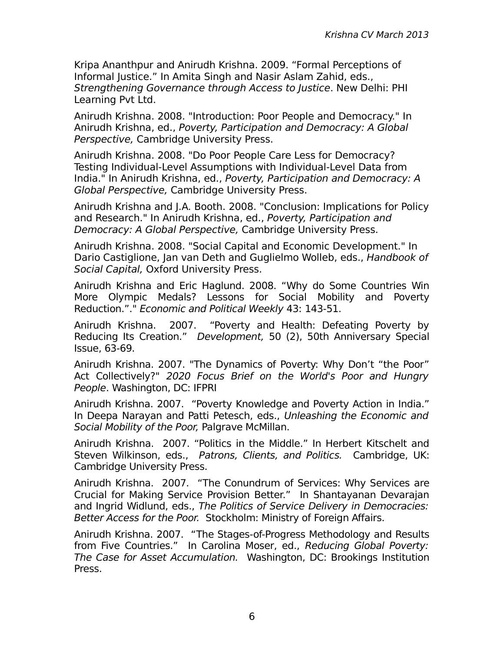Kripa Ananthpur and Anirudh Krishna. 2009. "Formal Perceptions of Informal Justice." In Amita Singh and Nasir Aslam Zahid, eds., Strengthening Governance through Access to Justice. New Delhi: PHI Learning Pvt Ltd.

Anirudh Krishna. 2008. "Introduction: Poor People and Democracy." In Anirudh Krishna, ed., Poverty, Participation and Democracy: A Global Perspective, Cambridge University Press.

Anirudh Krishna. 2008. "Do Poor People Care Less for Democracy? Testing Individual-Level Assumptions with Individual-Level Data from India." In Anirudh Krishna, ed., Poverty, Participation and Democracy: A Global Perspective, Cambridge University Press.

Anirudh Krishna and J.A. Booth. 2008. "Conclusion: Implications for Policy and Research." In Anirudh Krishna, ed., Poverty, Participation and Democracy: A Global Perspective, Cambridge University Press.

Anirudh Krishna. 2008. "Social Capital and Economic Development." In Dario Castiglione, Jan van Deth and Guglielmo Wolleb, eds., Handbook of Social Capital, Oxford University Press.

Anirudh Krishna and Eric Haglund. 2008. "Why do Some Countries Win More Olympic Medals? Lessons for Social Mobility and Poverty Reduction."." Economic and Political Weekly 43: 143-51.

Anirudh Krishna. 2007. "Poverty and Health: Defeating Poverty by Reducing Its Creation." Development, 50 (2), 50th Anniversary Special Issue, 63-69.

Anirudh Krishna. 2007. "The Dynamics of Poverty: Why Don't "the Poor" Act Collectively?" 2020 Focus Brief on the World's Poor and Hungry People. Washington, DC: IFPRI

Anirudh Krishna. 2007. "Poverty Knowledge and Poverty Action in India." In Deepa Narayan and Patti Petesch, eds., Unleashing the Economic and Social Mobility of the Poor, Palgrave McMillan.

Anirudh Krishna. 2007. "Politics in the Middle." In Herbert Kitschelt and Steven Wilkinson, eds., Patrons, Clients, and Politics. Cambridge, UK: Cambridge University Press.

Anirudh Krishna. 2007. "The Conundrum of Services: Why Services are Crucial for Making Service Provision Better." In Shantayanan Devarajan and Ingrid Widlund, eds., The Politics of Service Delivery in Democracies: Better Access for the Poor. Stockholm: Ministry of Foreign Affairs.

Anirudh Krishna. 2007. "The Stages-of-Progress Methodology and Results from Five Countries." In Carolina Moser, ed., Reducing Global Poverty: The Case for Asset Accumulation. Washington, DC: Brookings Institution Press.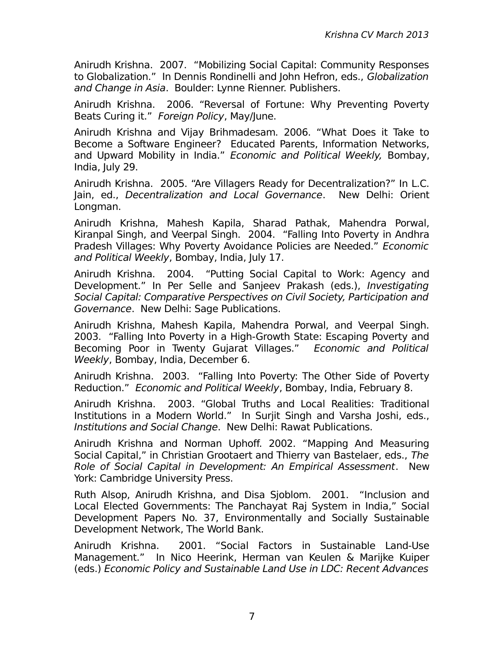Anirudh Krishna. 2007. "Mobilizing Social Capital: Community Responses to Globalization." In Dennis Rondinelli and John Hefron, eds., Globalization and Change in Asia. Boulder: Lynne Rienner. Publishers.

Anirudh Krishna. 2006. "Reversal of Fortune: Why Preventing Poverty Beats Curing it." Foreign Policy, May/June.

Anirudh Krishna and Vijay Brihmadesam. 2006. "What Does it Take to Become a Software Engineer? Educated Parents, Information Networks, and Upward Mobility in India." Economic and Political Weekly, Bombay, India, July 29.

Anirudh Krishna. 2005. "Are Villagers Ready for Decentralization?" In L.C. Jain, ed., Decentralization and Local Governance. New Delhi: Orient Longman.

Anirudh Krishna, Mahesh Kapila, Sharad Pathak, Mahendra Porwal, Kiranpal Singh, and Veerpal Singh. 2004. "Falling Into Poverty in Andhra Pradesh Villages: Why Poverty Avoidance Policies are Needed." Economic and Political Weekly, Bombay, India, July 17.

Anirudh Krishna. 2004. "Putting Social Capital to Work: Agency and Development." In Per Selle and Sanjeev Prakash (eds.), Investigating Social Capital: Comparative Perspectives on Civil Society, Participation and Governance. New Delhi: Sage Publications.

Anirudh Krishna, Mahesh Kapila, Mahendra Porwal, and Veerpal Singh. 2003. "Falling Into Poverty in a High-Growth State: Escaping Poverty and Becoming Poor in Twenty Gujarat Villages." Economic and Political Weekly, Bombay, India, December 6.

Anirudh Krishna. 2003. "Falling Into Poverty: The Other Side of Poverty Reduction." Economic and Political Weekly, Bombay, India, February 8.

Anirudh Krishna. 2003. "Global Truths and Local Realities: Traditional Institutions in a Modern World." In Surjit Singh and Varsha Joshi, eds., Institutions and Social Change. New Delhi: Rawat Publications.

Anirudh Krishna and Norman Uphoff. 2002. "Mapping And Measuring Social Capital," in Christian Grootaert and Thierry van Bastelaer, eds., The Role of Social Capital in Development: An Empirical Assessment. New York: Cambridge University Press.

Ruth Alsop, Anirudh Krishna, and Disa Sjoblom. 2001. "Inclusion and Local Elected Governments: The Panchayat Raj System in India," Social Development Papers No. 37, Environmentally and Socially Sustainable Development Network, The World Bank.

Anirudh Krishna. 2001. "Social Factors in Sustainable Land-Use Management." In Nico Heerink, Herman van Keulen & Marijke Kuiper (eds.) Economic Policy and Sustainable Land Use in LDC: Recent Advances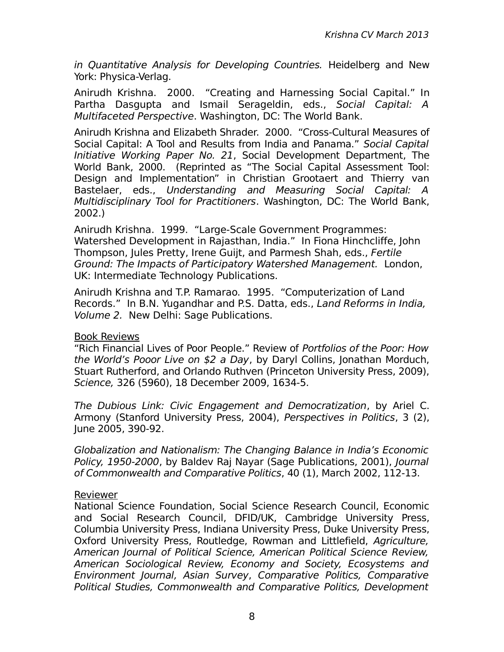in Quantitative Analysis for Developing Countries. Heidelberg and New York: Physica-Verlag.

Anirudh Krishna. 2000. "Creating and Harnessing Social Capital." In Partha Dasgupta and Ismail Serageldin, eds., Social Capital: A Multifaceted Perspective. Washington, DC: The World Bank.

Anirudh Krishna and Elizabeth Shrader. 2000. "Cross-Cultural Measures of Social Capital: A Tool and Results from India and Panama." Social Capital Initiative Working Paper No. 21, Social Development Department, The World Bank, 2000. (Reprinted as "The Social Capital Assessment Tool: Design and Implementation" in Christian Grootaert and Thierry van Bastelaer, eds., Understanding and Measuring Social Capital: A Multidisciplinary Tool for Practitioners. Washington, DC: The World Bank, 2002.)

Anirudh Krishna. 1999. "Large-Scale Government Programmes: Watershed Development in Rajasthan, India." In Fiona Hinchcliffe, John Thompson, Jules Pretty, Irene Guijt, and Parmesh Shah, eds., Fertile Ground: The Impacts of Participatory Watershed Management. London, UK: Intermediate Technology Publications.

Anirudh Krishna and T.P. Ramarao. 1995. "Computerization of Land Records." In B.N. Yugandhar and P.S. Datta, eds., Land Reforms in India, Volume 2. New Delhi: Sage Publications.

### Book Reviews

"Rich Financial Lives of Poor People." Review of Portfolios of the Poor: How the World's Pooor Live on \$2 a Day, by Daryl Collins, Jonathan Morduch, Stuart Rutherford, and Orlando Ruthven (Princeton University Press, 2009), Science, 326 (5960), 18 December 2009, 1634-5.

The Dubious Link: Civic Engagement and Democratization, by Ariel C. Armony (Stanford University Press, 2004), Perspectives in Politics, 3 (2), June 2005, 390-92.

Globalization and Nationalism: The Changing Balance in India's Economic Policy, 1950-2000, by Baldev Raj Nayar (Sage Publications, 2001), Journal of Commonwealth and Comparative Politics, 40 (1), March 2002, 112-13.

### Reviewer

National Science Foundation, Social Science Research Council, Economic and Social Research Council, DFID/UK, Cambridge University Press, Columbia University Press, Indiana University Press, Duke University Press, Oxford University Press, Routledge, Rowman and Littlefield, Agriculture, American Journal of Political Science, American Political Science Review, American Sociological Review, Economy and Society, Ecosystems and Environment Journal, Asian Survey, Comparative Politics, Comparative Political Studies, Commonwealth and Comparative Politics, Development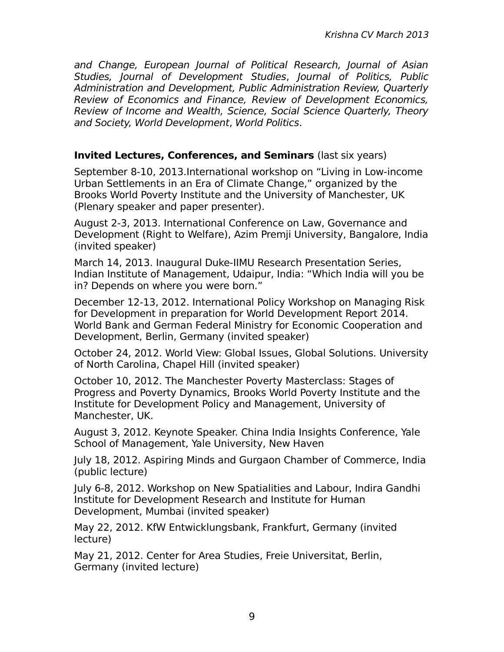and Change, European Journal of Political Research, Journal of Asian Studies, Journal of Development Studies, Journal of Politics, Public Administration and Development, Public Administration Review, Quarterly Review of Economics and Finance, Review of Development Economics, Review of Income and Wealth, Science, Social Science Quarterly, Theory and Society, World Development, World Politics.

### **Invited Lectures, Conferences, and Seminars** (last six years)

September 8-10, 2013.International workshop on "Living in Low-income Urban Settlements in an Era of Climate Change," organized by the Brooks World Poverty Institute and the University of Manchester, UK (Plenary speaker and paper presenter).

August 2-3, 2013. International Conference on Law, Governance and Development (Right to Welfare), Azim Premji University, Bangalore, India (invited speaker)

March 14, 2013. Inaugural Duke-IIMU Research Presentation Series, Indian Institute of Management, Udaipur, India: "Which India will you be in? Depends on where you were born."

December 12-13, 2012. International Policy Workshop on Managing Risk for Development in preparation for World Development Report 2014. World Bank and German Federal Ministry for Economic Cooperation and Development, Berlin, Germany (invited speaker)

October 24, 2012. World View: Global Issues, Global Solutions. University of North Carolina, Chapel Hill (invited speaker)

October 10, 2012. The Manchester Poverty Masterclass: Stages of Progress and Poverty Dynamics, Brooks World Poverty Institute and the Institute for Development Policy and Management, University of Manchester, UK.

August 3, 2012. Keynote Speaker. China India Insights Conference, Yale School of Management, Yale University, New Haven

July 18, 2012. Aspiring Minds and Gurgaon Chamber of Commerce, India (public lecture)

July 6-8, 2012. Workshop on New Spatialities and Labour, Indira Gandhi Institute for Development Research and Institute for Human Development, Mumbai (invited speaker)

May 22, 2012. KfW Entwicklungsbank, Frankfurt, Germany (invited lecture)

May 21, 2012. Center for Area Studies, Freie Universitat, Berlin, Germany (invited lecture)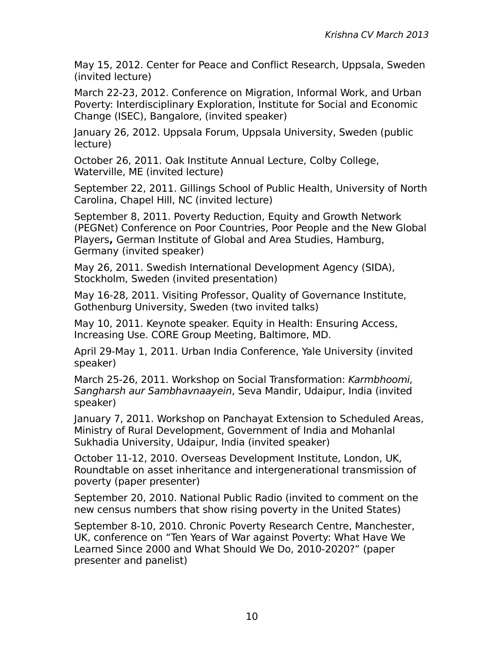May 15, 2012. Center for Peace and Conflict Research, Uppsala, Sweden (invited lecture)

March 22-23, 2012. Conference on Migration, Informal Work, and Urban Poverty: Interdisciplinary Exploration, Institute for Social and Economic Change (ISEC), Bangalore, (invited speaker)

January 26, 2012. Uppsala Forum, Uppsala University, Sweden (public lecture)

October 26, 2011. Oak Institute Annual Lecture, Colby College, Waterville, ME (invited lecture)

September 22, 2011. Gillings School of Public Health, University of North Carolina, Chapel Hill, NC (invited lecture)

September 8, 2011. Poverty Reduction, Equity and Growth Network (PEGNet) Conference on Poor Countries, Poor People and the New Global Players**,** German Institute of Global and Area Studies, Hamburg, Germany (invited speaker)

May 26, 2011. Swedish International Development Agency (SIDA), Stockholm, Sweden (invited presentation)

May 16-28, 2011. Visiting Professor, Quality of Governance Institute, Gothenburg University, Sweden (two invited talks)

May 10, 2011. Keynote speaker. Equity in Health: Ensuring Access, Increasing Use. CORE Group Meeting, Baltimore, MD.

April 29-May 1, 2011. Urban India Conference, Yale University (invited speaker)

March 25-26, 2011. Workshop on Social Transformation: Karmbhoomi, Sangharsh aur Sambhavnaayein, Seva Mandir, Udaipur, India (invited speaker)

January 7, 2011. Workshop on Panchayat Extension to Scheduled Areas, Ministry of Rural Development, Government of India and Mohanlal Sukhadia University, Udaipur, India (invited speaker)

October 11-12, 2010. Overseas Development Institute, London, UK, Roundtable on asset inheritance and intergenerational transmission of poverty (paper presenter)

September 20, 2010. National Public Radio (invited to comment on the new census numbers that show rising poverty in the United States)

September 8-10, 2010. Chronic Poverty Research Centre, Manchester, UK, conference on "Ten Years of War against Poverty: What Have We Learned Since 2000 and What Should We Do, 2010-2020?" (paper presenter and panelist)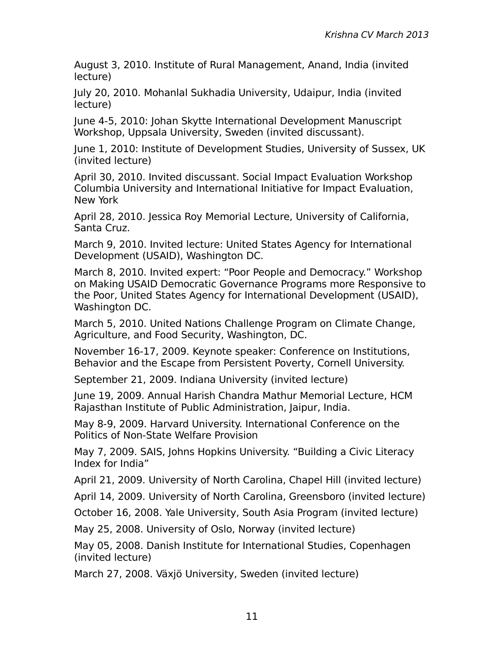August 3, 2010. Institute of Rural Management, Anand, India (invited lecture)

July 20, 2010. Mohanlal Sukhadia University, Udaipur, India (invited lecture)

June 4-5, 2010: Johan Skytte International Development Manuscript Workshop, Uppsala University, Sweden (invited discussant).

June 1, 2010: Institute of Development Studies, University of Sussex, UK (invited lecture)

April 30, 2010. Invited discussant. Social Impact Evaluation Workshop Columbia University and International Initiative for Impact Evaluation, New York

April 28, 2010. Jessica Roy Memorial Lecture, University of California, Santa Cruz.

March 9, 2010. Invited lecture: United States Agency for International Development (USAID), Washington DC.

March 8, 2010. Invited expert: "Poor People and Democracy." Workshop on Making USAID Democratic Governance Programs more Responsive to the Poor, United States Agency for International Development (USAID), Washington DC.

March 5, 2010. United Nations Challenge Program on Climate Change, Agriculture, and Food Security, Washington, DC.

November 16-17, 2009. Keynote speaker: Conference on Institutions, Behavior and the Escape from Persistent Poverty, Cornell University.

September 21, 2009. Indiana University (invited lecture)

June 19, 2009. Annual Harish Chandra Mathur Memorial Lecture, HCM Rajasthan Institute of Public Administration, Jaipur, India.

May 8-9, 2009. Harvard University. International Conference on the Politics of Non-State Welfare Provision

May 7, 2009. SAIS, Johns Hopkins University. "Building a Civic Literacy Index for India"

April 21, 2009. University of North Carolina, Chapel Hill (invited lecture)

April 14, 2009. University of North Carolina, Greensboro (invited lecture)

October 16, 2008. Yale University, South Asia Program (invited lecture)

May 25, 2008. University of Oslo, Norway (invited lecture)

May 05, 2008. Danish Institute for International Studies, Copenhagen (invited lecture)

March 27, 2008. Växjö University, Sweden (invited lecture)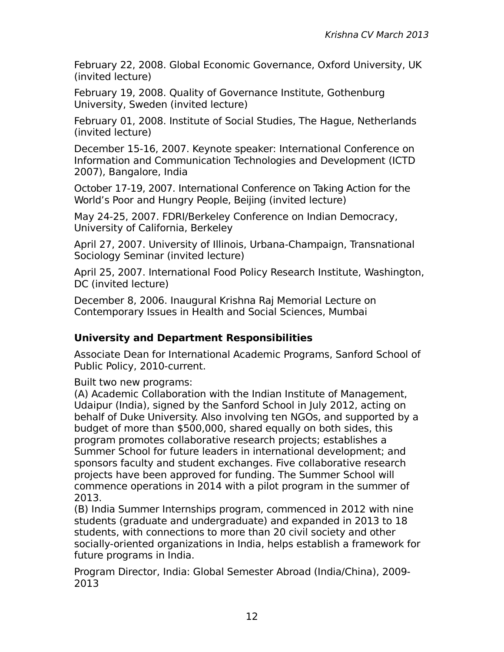February 22, 2008. Global Economic Governance, Oxford University, UK (invited lecture)

February 19, 2008. Quality of Governance Institute, Gothenburg University, Sweden (invited lecture)

February 01, 2008. Institute of Social Studies, The Hague, Netherlands (invited lecture)

December 15-16, 2007. Keynote speaker: International Conference on Information and Communication Technologies and Development (ICTD 2007), Bangalore, India

October 17-19, 2007. International Conference on Taking Action for the World's Poor and Hungry People, Beijing (invited lecture)

May 24-25, 2007. FDRI/Berkeley Conference on Indian Democracy, University of California, Berkeley

April 27, 2007. University of Illinois, Urbana-Champaign, Transnational Sociology Seminar (invited lecture)

April 25, 2007. International Food Policy Research Institute, Washington, DC (invited lecture)

December 8, 2006. Inaugural Krishna Raj Memorial Lecture on Contemporary Issues in Health and Social Sciences, Mumbai

# **University and Department Responsibilities**

Associate Dean for International Academic Programs, Sanford School of Public Policy, 2010-current.

Built two new programs:

(A) Academic Collaboration with the Indian Institute of Management, Udaipur (India), signed by the Sanford School in July 2012, acting on behalf of Duke University. Also involving ten NGOs, and supported by a budget of more than \$500,000, shared equally on both sides, this program promotes collaborative research projects; establishes a Summer School for future leaders in international development; and sponsors faculty and student exchanges. Five collaborative research projects have been approved for funding. The Summer School will commence operations in 2014 with a pilot program in the summer of 2013.

(B) India Summer Internships program, commenced in 2012 with nine students (graduate and undergraduate) and expanded in 2013 to 18 students, with connections to more than 20 civil society and other socially-oriented organizations in India, helps establish a framework for future programs in India.

Program Director, India: Global Semester Abroad (India/China), 2009- 2013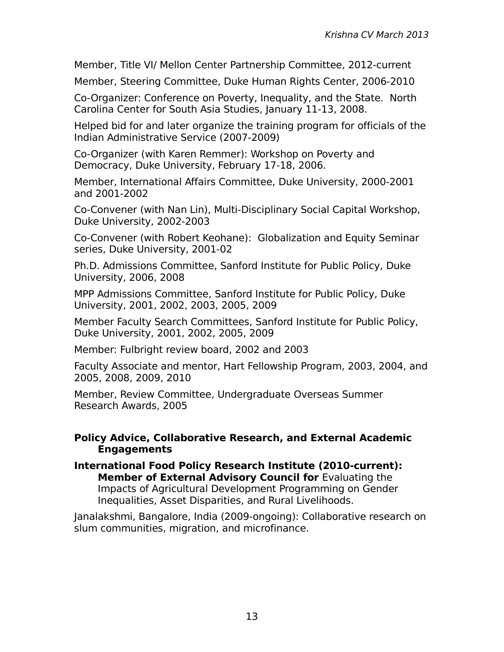Member, Title VI/ Mellon Center Partnership Committee, 2012-current

Member, Steering Committee, Duke Human Rights Center, 2006-2010

Co-Organizer: Conference on Poverty, Inequality, and the State. North Carolina Center for South Asia Studies, January 11-13, 2008.

Helped bid for and later organize the training program for officials of the Indian Administrative Service (2007-2009)

Co-Organizer (with Karen Remmer): Workshop on Poverty and Democracy, Duke University, February 17-18, 2006.

Member, International Affairs Committee, Duke University, 2000-2001 and 2001-2002

Co-Convener (with Nan Lin), Multi-Disciplinary Social Capital Workshop, Duke University, 2002-2003

Co-Convener (with Robert Keohane): Globalization and Equity Seminar series, Duke University, 2001-02

Ph.D. Admissions Committee, Sanford Institute for Public Policy, Duke University, 2006, 2008

MPP Admissions Committee, Sanford Institute for Public Policy, Duke University, 2001, 2002, 2003, 2005, 2009

Member Faculty Search Committees, Sanford Institute for Public Policy, Duke University, 2001, 2002, 2005, 2009

Member: Fulbright review board, 2002 and 2003

Faculty Associate and mentor, Hart Fellowship Program, 2003, 2004, and 2005, 2008, 2009, 2010

Member, Review Committee, Undergraduate Overseas Summer Research Awards, 2005

### **Policy Advice, Collaborative Research, and External Academic Engagements**

**International Food Policy Research Institute (2010-current): Member of External Advisory Council for Evaluating the** Impacts of Agricultural Development Programming on Gender Inequalities, Asset Disparities, and Rural Livelihoods.

Janalakshmi, Bangalore, India (2009-ongoing): Collaborative research on slum communities, migration, and microfinance.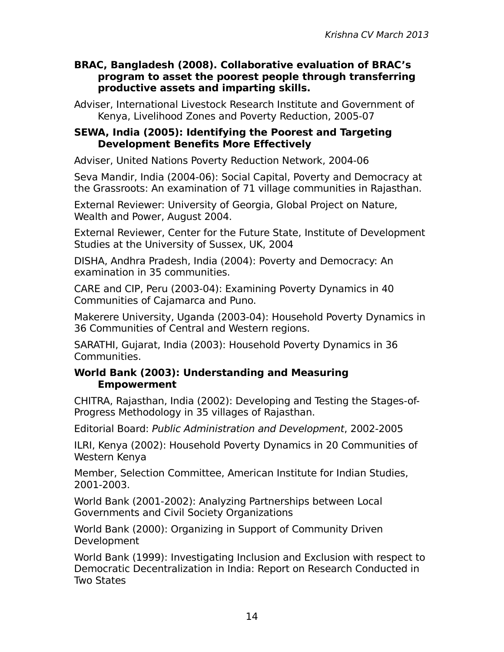### **BRAC, Bangladesh (2008). Collaborative evaluation of BRAC's program to asset the poorest people through transferring productive assets and imparting skills.**

Adviser, International Livestock Research Institute and Government of Kenya, Livelihood Zones and Poverty Reduction, 2005-07

### **SEWA, India (2005): Identifying the Poorest and Targeting Development Benefits More Effectively**

Adviser, United Nations Poverty Reduction Network, 2004-06

Seva Mandir, India (2004-06): Social Capital, Poverty and Democracy at the Grassroots: An examination of 71 village communities in Rajasthan.

External Reviewer: University of Georgia, Global Project on Nature, Wealth and Power, August 2004.

External Reviewer, Center for the Future State, Institute of Development Studies at the University of Sussex, UK, 2004

DISHA, Andhra Pradesh, India (2004): Poverty and Democracy: An examination in 35 communities.

CARE and CIP, Peru (2003-04): Examining Poverty Dynamics in 40 Communities of Cajamarca and Puno.

Makerere University, Uganda (2003-04): Household Poverty Dynamics in 36 Communities of Central and Western regions.

SARATHI, Gujarat, India (2003): Household Poverty Dynamics in 36 Communities.

### **World Bank (2003): Understanding and Measuring Empowerment**

CHITRA, Rajasthan, India (2002): Developing and Testing the Stages-of-Progress Methodology in 35 villages of Rajasthan.

Editorial Board: Public Administration and Development, 2002-2005

ILRI, Kenya (2002): Household Poverty Dynamics in 20 Communities of Western Kenya

Member, Selection Committee, American Institute for Indian Studies, 2001-2003.

World Bank (2001-2002): Analyzing Partnerships between Local Governments and Civil Society Organizations

World Bank (2000): Organizing in Support of Community Driven Development

World Bank (1999): Investigating Inclusion and Exclusion with respect to Democratic Decentralization in India: Report on Research Conducted in Two States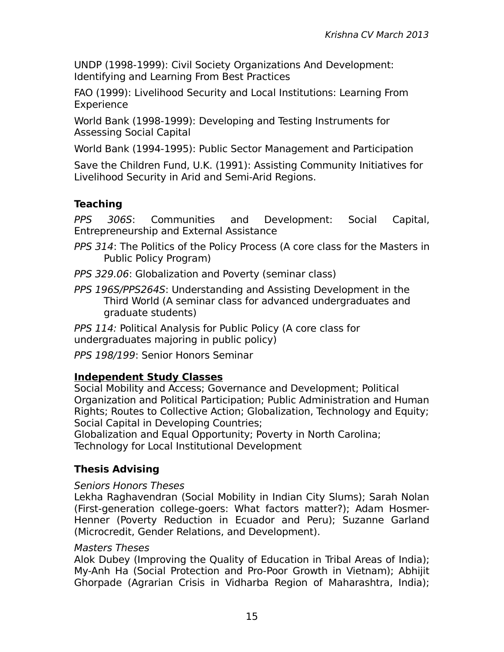UNDP (1998-1999): Civil Society Organizations And Development: Identifying and Learning From Best Practices

FAO (1999): Livelihood Security and Local Institutions: Learning From Experience

World Bank (1998-1999): Developing and Testing Instruments for Assessing Social Capital

World Bank (1994-1995): Public Sector Management and Participation

Save the Children Fund, U.K. (1991): Assisting Community Initiatives for Livelihood Security in Arid and Semi-Arid Regions.

# **Teaching**

PPS 306S: Communities and Development: Social Capital, Entrepreneurship and External Assistance

- PPS 314: The Politics of the Policy Process (A core class for the Masters in Public Policy Program)
- PPS 329.06: Globalization and Poverty (seminar class)
- PPS 196S/PPS264S: Understanding and Assisting Development in the Third World (A seminar class for advanced undergraduates and graduate students)

PPS 114: Political Analysis for Public Policy (A core class for undergraduates majoring in public policy)

PPS 198/199: Senior Honors Seminar

# **Independent Study Classes**

Social Mobility and Access; Governance and Development; Political Organization and Political Participation; Public Administration and Human Rights; Routes to Collective Action; Globalization, Technology and Equity; Social Capital in Developing Countries;

Globalization and Equal Opportunity; Poverty in North Carolina; Technology for Local Institutional Development

# **Thesis Advising**

## Seniors Honors Theses

Lekha Raghavendran (Social Mobility in Indian City Slums); Sarah Nolan (First-generation college-goers: What factors matter?); Adam Hosmer-Henner (Poverty Reduction in Ecuador and Peru); Suzanne Garland (Microcredit, Gender Relations, and Development).

## Masters Theses

Alok Dubey (Improving the Quality of Education in Tribal Areas of India); My-Anh Ha (Social Protection and Pro-Poor Growth in Vietnam); Abhijit Ghorpade (Agrarian Crisis in Vidharba Region of Maharashtra, India);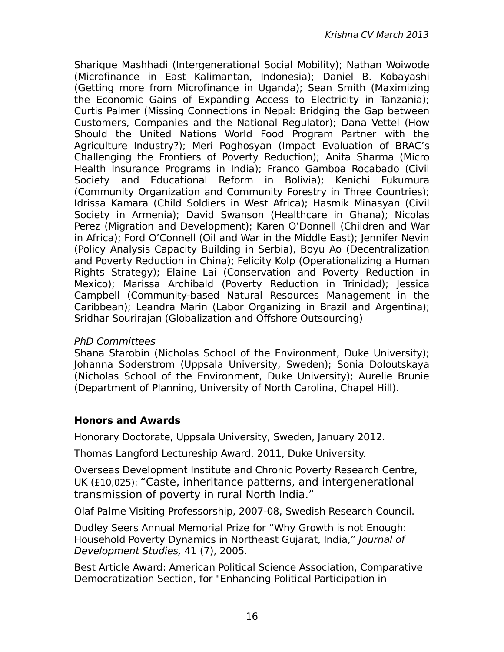Sharique Mashhadi (Intergenerational Social Mobility); Nathan Woiwode (Microfinance in East Kalimantan, Indonesia); Daniel B. Kobayashi (Getting more from Microfinance in Uganda); Sean Smith (Maximizing the Economic Gains of Expanding Access to Electricity in Tanzania); Curtis Palmer (Missing Connections in Nepal: Bridging the Gap between Customers, Companies and the National Regulator); Dana Vettel (How Should the United Nations World Food Program Partner with the Agriculture Industry?); Meri Poghosyan (Impact Evaluation of BRAC's Challenging the Frontiers of Poverty Reduction); Anita Sharma (Micro Health Insurance Programs in India); Franco Gamboa Rocabado (Civil Society and Educational Reform in Bolivia); Kenichi Fukumura (Community Organization and Community Forestry in Three Countries); Idrissa Kamara (Child Soldiers in West Africa); Hasmik Minasyan (Civil Society in Armenia); David Swanson (Healthcare in Ghana); Nicolas Perez (Migration and Development); Karen O'Donnell (Children and War in Africa); Ford O'Connell (Oil and War in the Middle East); Jennifer Nevin (Policy Analysis Capacity Building in Serbia), Boyu Ao (Decentralization and Poverty Reduction in China); Felicity Kolp (Operationalizing a Human Rights Strategy); Elaine Lai (Conservation and Poverty Reduction in Mexico); Marissa Archibald (Poverty Reduction in Trinidad); Jessica Campbell (Community-based Natural Resources Management in the Caribbean); Leandra Marin (Labor Organizing in Brazil and Argentina); Sridhar Sourirajan (Globalization and Offshore Outsourcing)

### PhD Committees

Shana Starobin (Nicholas School of the Environment, Duke University); Johanna Soderstrom (Uppsala University, Sweden); Sonia Doloutskaya (Nicholas School of the Environment, Duke University); Aurelie Brunie (Department of Planning, University of North Carolina, Chapel Hill).

## **Honors and Awards**

Honorary Doctorate, Uppsala University, Sweden, January 2012.

Thomas Langford Lectureship Award, 2011, Duke University.

Overseas Development Institute and Chronic Poverty Research Centre, UK (£10,025): "Caste, inheritance patterns, and intergenerational transmission of poverty in rural North India."

Olaf Palme Visiting Professorship, 2007-08, Swedish Research Council.

Dudley Seers Annual Memorial Prize for "Why Growth is not Enough: Household Poverty Dynamics in Northeast Gujarat, India," Journal of Development Studies, 41 (7), 2005.

Best Article Award: American Political Science Association, Comparative Democratization Section, for "Enhancing Political Participation in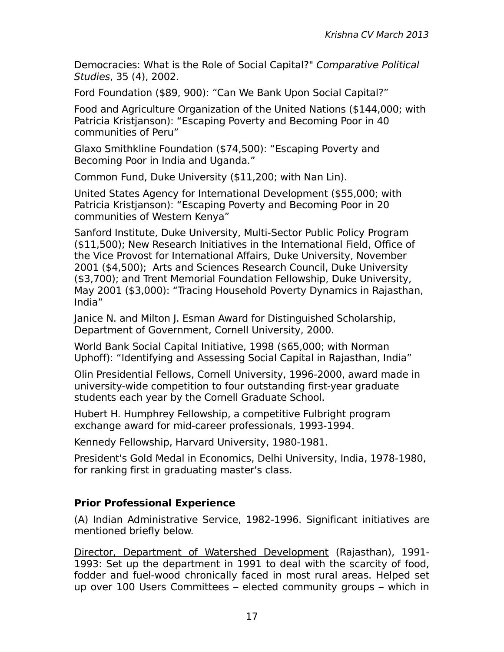Democracies: What is the Role of Social Capital?" Comparative Political Studies, 35 (4), 2002.

Ford Foundation (\$89, 900): "Can We Bank Upon Social Capital?"

Food and Agriculture Organization of the United Nations (\$144,000; with Patricia Kristjanson): "Escaping Poverty and Becoming Poor in 40 communities of Peru"

Glaxo Smithkline Foundation (\$74,500): "Escaping Poverty and Becoming Poor in India and Uganda."

Common Fund, Duke University (\$11,200; with Nan Lin).

United States Agency for International Development (\$55,000; with Patricia Kristjanson): "Escaping Poverty and Becoming Poor in 20 communities of Western Kenya"

Sanford Institute, Duke University, Multi-Sector Public Policy Program (\$11,500); New Research Initiatives in the International Field, Office of the Vice Provost for International Affairs, Duke University, November 2001 (\$4,500); Arts and Sciences Research Council, Duke University (\$3,700); and Trent Memorial Foundation Fellowship, Duke University, May 2001 (\$3,000): "Tracing Household Poverty Dynamics in Rajasthan, India"

Janice N. and Milton J. Esman Award for Distinguished Scholarship, Department of Government, Cornell University, 2000.

World Bank Social Capital Initiative, 1998 (\$65,000; with Norman Uphoff): "Identifying and Assessing Social Capital in Rajasthan, India"

Olin Presidential Fellows, Cornell University, 1996-2000, award made in university-wide competition to four outstanding first-year graduate students each year by the Cornell Graduate School.

Hubert H. Humphrey Fellowship, a competitive Fulbright program exchange award for mid-career professionals, 1993-1994.

Kennedy Fellowship, Harvard University, 1980-1981.

President's Gold Medal in Economics, Delhi University, India, 1978-1980, for ranking first in graduating master's class.

# **Prior Professional Experience**

(A) Indian Administrative Service, 1982-1996. Significant initiatives are mentioned briefly below.

Director, Department of Watershed Development (Rajasthan), 1991- 1993: Set up the department in 1991 to deal with the scarcity of food, fodder and fuel-wood chronically faced in most rural areas. Helped set up over 100 Users Committees – elected community groups – which in